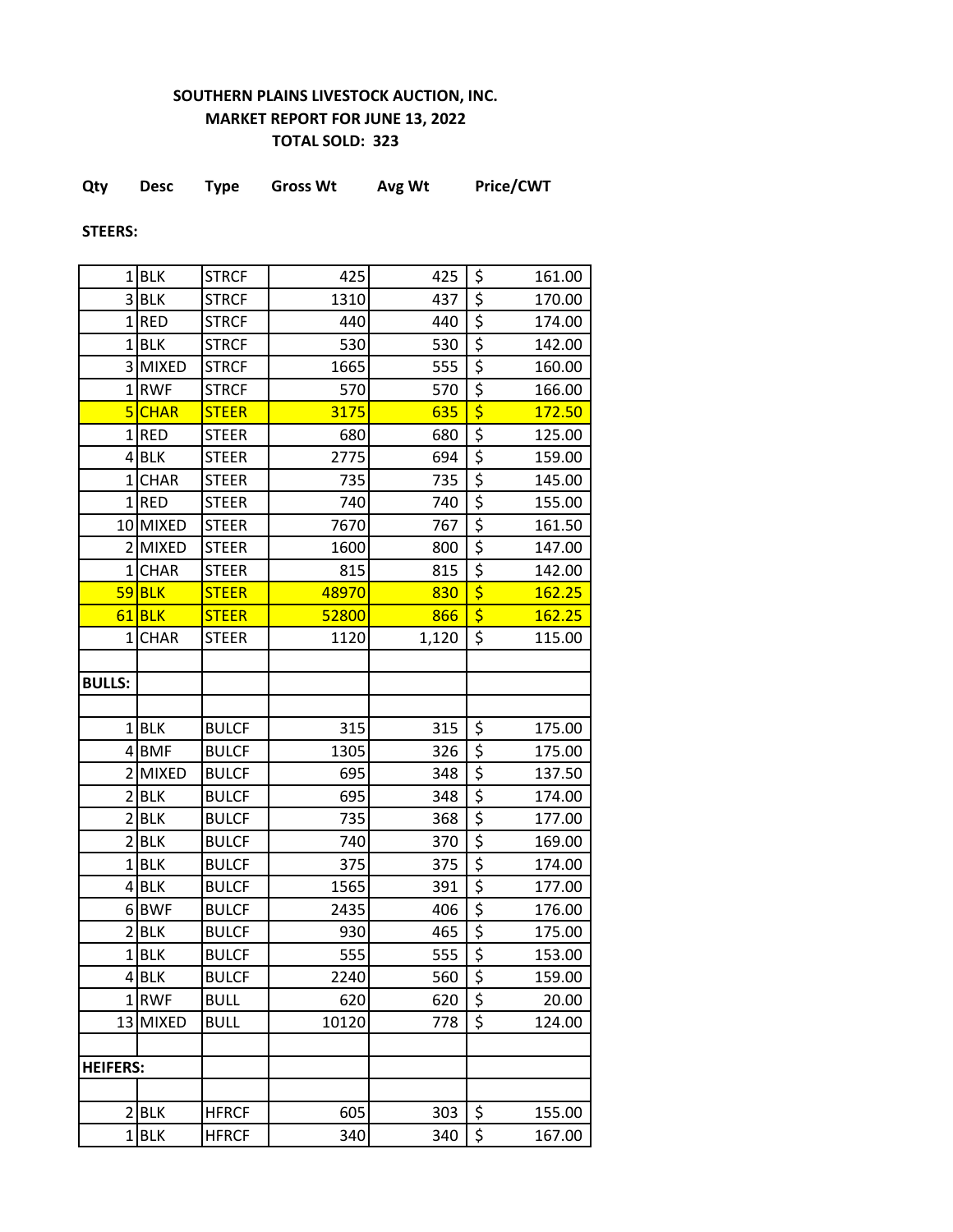## **SOUTHERN PLAINS LIVESTOCK AUCTION, INC. MARKET REPORT FOR JUNE 13, 2022 TOTAL SOLD: 323**

| Qty | <b>Desc</b> | Type | <b>Gross Wt</b> | Avg Wt | Price/CWT |
|-----|-------------|------|-----------------|--------|-----------|
|     |             |      |                 |        |           |

**STEERS:**

| 1               | <b>BLK</b>   | <b>STRCF</b> | 425   | 425   | \$                                  | 161.00 |
|-----------------|--------------|--------------|-------|-------|-------------------------------------|--------|
|                 | 3BLK         | <b>STRCF</b> | 1310  | 437   | \$                                  | 170.00 |
|                 | $1$ RED      | <b>STRCF</b> | 440   | 440   | $\overline{\boldsymbol{\zeta}}$     | 174.00 |
| $\mathbf{1}$    | <b>BLK</b>   | <b>STRCF</b> | 530   | 530   | \$                                  | 142.00 |
| $\overline{3}$  | <b>MIXED</b> | <b>STRCF</b> | 1665  | 555   | \$                                  | 160.00 |
| $\mathbf{1}$    | <b>RWF</b>   | <b>STRCF</b> | 570   | 570   | \$                                  | 166.00 |
|                 | 5 CHAR       | <b>STEER</b> | 3175  | 635   | \$                                  | 172.50 |
| $1\vert$        | <b>RED</b>   | <b>STEER</b> | 680   | 680   | $\overline{\xi}$                    | 125.00 |
|                 | $4$ BLK      | <b>STEER</b> | 2775  | 694   | $\overline{\boldsymbol{\zeta}}$     | 159.00 |
| $1\vert$        | <b>CHAR</b>  | <b>STEER</b> | 735   | 735   | \$                                  | 145.00 |
|                 | $1$ RED      | <b>STEER</b> | 740   | 740   | \$                                  | 155.00 |
|                 | 10 MIXED     | <b>STEER</b> | 7670  | 767   | \$                                  | 161.50 |
| $\overline{2}$  | <b>MIXED</b> | <b>STEER</b> | 1600  | 800   | $\overline{\xi}$                    | 147.00 |
| $1\vert$        | <b>CHAR</b>  | <b>STEER</b> | 815   | 815   | \$                                  | 142.00 |
|                 | $59$ BLK     | <b>STEER</b> | 48970 | 830   | $\overline{\boldsymbol{\varsigma}}$ | 162.25 |
| 61              | <b>BLK</b>   | <b>STEER</b> | 52800 | 866   | \$                                  | 162.25 |
| $\mathbf{1}$    | <b>CHAR</b>  | <b>STEER</b> | 1120  | 1,120 | \$                                  | 115.00 |
|                 |              |              |       |       |                                     |        |
| <b>BULLS:</b>   |              |              |       |       |                                     |        |
|                 |              |              |       |       |                                     |        |
|                 | $1$ BLK      | <b>BULCF</b> | 315   | 315   | \$                                  | 175.00 |
|                 | 4BMF         | <b>BULCF</b> | 1305  | 326   | $\overline{\boldsymbol{\zeta}}$     | 175.00 |
| 2               | <b>MIXED</b> | <b>BULCF</b> | 695   | 348   | \$                                  | 137.50 |
| 2               | <b>BLK</b>   | <b>BULCF</b> | 695   | 348   | \$                                  | 174.00 |
| $\overline{2}$  | <b>BLK</b>   | <b>BULCF</b> | 735   | 368   | \$                                  | 177.00 |
| 2               | <b>BLK</b>   | <b>BULCF</b> | 740   | 370   | \$                                  | 169.00 |
| $\mathbf{1}$    | <b>BLK</b>   | <b>BULCF</b> | 375   | 375   | $\overline{\xi}$                    | 174.00 |
|                 | $4$ BLK      | <b>BULCF</b> | 1565  | 391   | \$                                  | 177.00 |
|                 | 6BWF         | <b>BULCF</b> | 2435  | 406   | \$                                  | 176.00 |
| 2               | <b>BLK</b>   | <b>BULCF</b> | 930   | 465   | $\overline{\boldsymbol{\zeta}}$     | 175.00 |
|                 | $1$ BLK      | <b>BULCF</b> | 555   | 555   | \$                                  | 153.00 |
|                 | $4$ BLK      | <b>BULCF</b> | 2240  | 560   | \$                                  | 159.00 |
|                 | 1RWF         | <b>BULL</b>  | 620   | 620   | \$                                  | 20.00  |
|                 | 13 MIXED     | <b>BULL</b>  | 10120 | 778   | $\overline{\xi}$                    | 124.00 |
|                 |              |              |       |       |                                     |        |
| <b>HEIFERS:</b> |              |              |       |       |                                     |        |
|                 |              |              |       |       |                                     |        |
|                 | 2 BLK        | <b>HFRCF</b> | 605   | 303   | \$                                  | 155.00 |
|                 | $1$ BLK      | <b>HFRCF</b> | 340   | 340   | $\overline{\xi}$                    | 167.00 |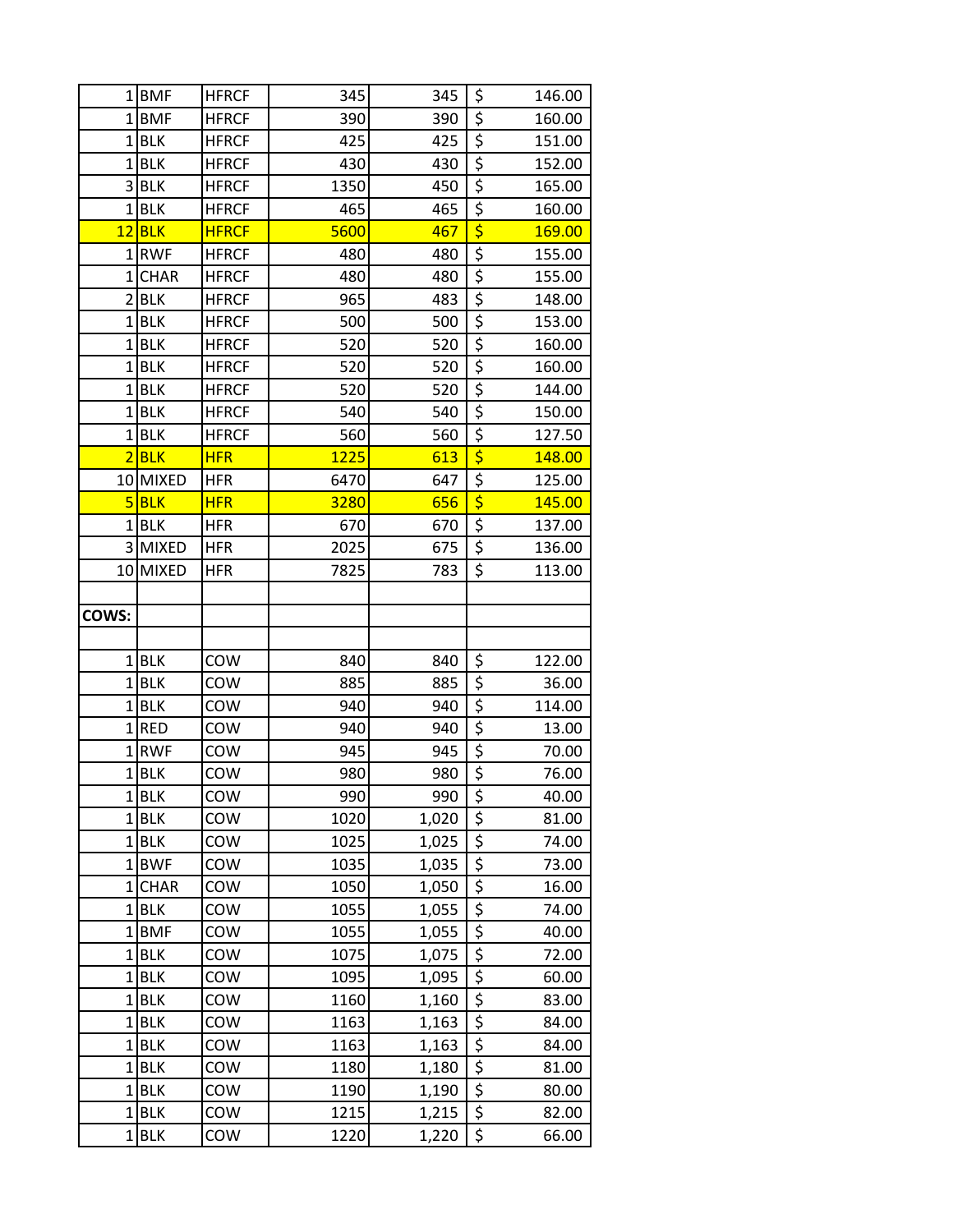|                | 1BMF                  | <b>HFRCF</b> | 345         | 345        | \$                                  | 146.00         |
|----------------|-----------------------|--------------|-------------|------------|-------------------------------------|----------------|
|                | 1BMF                  | <b>HFRCF</b> | 390         | 390        | \$                                  | 160.00         |
| 1              | <b>BLK</b>            | <b>HFRCF</b> | 425         | 425        | \$                                  | 151.00         |
| $\mathbf{1}$   | <b>BLK</b>            | <b>HFRCF</b> | 430         | 430        | \$                                  | 152.00         |
| 3              | <b>BLK</b>            | <b>HFRCF</b> | 1350        | 450        | \$                                  | 165.00         |
| $\mathbf{1}$   | <b>BLK</b>            | <b>HFRCF</b> | 465         | 465        | \$                                  | 160.00         |
| 12             | <b>BLK</b>            | <b>HFRCF</b> | 5600        | 467        | \$                                  | 169.00         |
| 1              | <b>RWF</b>            | <b>HFRCF</b> | 480         | 480        | \$                                  | 155.00         |
| $\mathbf{1}$   | <b>CHAR</b>           | <b>HFRCF</b> | 480         | 480        | \$                                  | 155.00         |
| $\overline{2}$ | <b>BLK</b>            | <b>HFRCF</b> | 965         | 483        | \$                                  | 148.00         |
| $1\vert$       | <b>BLK</b>            | <b>HFRCF</b> | 500         | 500        | \$                                  | 153.00         |
| $\mathbf{1}$   | <b>BLK</b>            | <b>HFRCF</b> | 520         | 520        | $\overline{\xi}$                    | 160.00         |
| $\mathbf{1}$   | <b>BLK</b>            | <b>HFRCF</b> | 520         | 520        | \$                                  | 160.00         |
| 1 <sup>1</sup> | <b>BLK</b>            | <b>HFRCF</b> | 520         | 520        | \$                                  | 144.00         |
| $\mathbf{1}$   | <b>BLK</b>            | <b>HFRCF</b> | 540         | 540        | $\overline{\xi}$                    | 150.00         |
| 1              | <b>BLK</b>            | <b>HFRCF</b> | 560         | 560        | $\overline{\boldsymbol{\zeta}}$     | 127.50         |
| $\overline{2}$ | <b>BLK</b>            | <b>HFR</b>   | 1225        | 613        | $\overline{\boldsymbol{\varsigma}}$ | 148.00         |
| 10             | <b>MIXED</b>          | <b>HFR</b>   | 6470        | 647        | $\overline{\xi}$                    | 125.00         |
| 5              | <b>BLK</b>            | <b>HFR</b>   | 3280        | 656        | $\overline{\boldsymbol{\varsigma}}$ | 145.00         |
| 1              | <b>BLK</b>            | HFR          | 670         | 670        | \$                                  | 137.00         |
|                | 3 MIXED               | <b>HFR</b>   | 2025        | 675        | \$                                  | 136.00         |
| 10             | <b>MIXED</b>          | <b>HFR</b>   | 7825        | 783        | \$                                  | 113.00         |
|                |                       |              |             |            |                                     |                |
| COWS:          |                       |              |             |            |                                     |                |
|                |                       |              |             |            |                                     |                |
|                | $1$ BLK               | COW          | 840         | 840        | \$                                  | 122.00         |
| $\mathbf{1}$   | <b>BLK</b>            | COW          | 885         | 885        | \$                                  | 36.00          |
| 1              | <b>BLK</b>            | COW          | 940         | 940        | \$                                  | 114.00         |
| $\overline{1}$ | <b>RED</b>            | COW          | 940         | 940        | \$                                  | 13.00          |
| $\mathbf{1}$   | <b>RWF</b><br>$1$ BLK | COW          | 945<br>980  | 945<br>980 | \$<br>$\overline{\xi}$              | 70.00          |
|                |                       | COW<br>COW   |             | 990        |                                     | 76.00          |
|                | $1$ BLK<br>$1$ BLK    | COW          | 990<br>1020 | 1,020      | \$<br>$\overline{\xi}$              | 40.00<br>81.00 |
|                | $1$ BLK               | COW          | 1025        | 1,025      | $\overline{\mathcal{L}}$            | 74.00          |
| 1 <sup>1</sup> | <b>BWF</b>            | COW          | 1035        | 1,035      | \$                                  | 73.00          |
| $1\vert$       | <b>CHAR</b>           | COW          | 1050        | 1,050      | $\overline{\xi}$                    | 16.00          |
| $1\vert$       | <b>BLK</b>            | COW          | 1055        | 1,055      | $\overline{\xi}$                    | 74.00          |
| $\mathbf{1}$   | <b>BMF</b>            | COW          | 1055        | 1,055      | \$                                  | 40.00          |
| 1              | <b>BLK</b>            | COW          | 1075        | 1,075      | $\overline{\xi}$                    | 72.00          |
|                | $1$ BLK               | COW          | 1095        | 1,095      | \$                                  | 60.00          |
| $\mathbf{1}$   | <b>BLK</b>            | COW          | 1160        | 1,160      | \$                                  | 83.00          |
| $1\vert$       | <b>BLK</b>            | COW          | 1163        | 1,163      | \$                                  | 84.00          |
| $\mathbf{1}$   | <b>BLK</b>            | COW          | 1163        | 1,163      | $\overline{\xi}$                    | 84.00          |
| $\mathbf{1}$   | <b>BLK</b>            | COW          | 1180        | 1,180      | \$                                  | 81.00          |
| $\mathbf{1}$   | <b>BLK</b>            | COW          | 1190        | 1,190      | \$                                  | 80.00          |
| 1              | <b>BLK</b>            | COW          | 1215        | 1,215      | \$                                  | 82.00          |
| $1\vert$       | <b>BLK</b>            | COW          | 1220        | 1,220      | \$                                  | 66.00          |